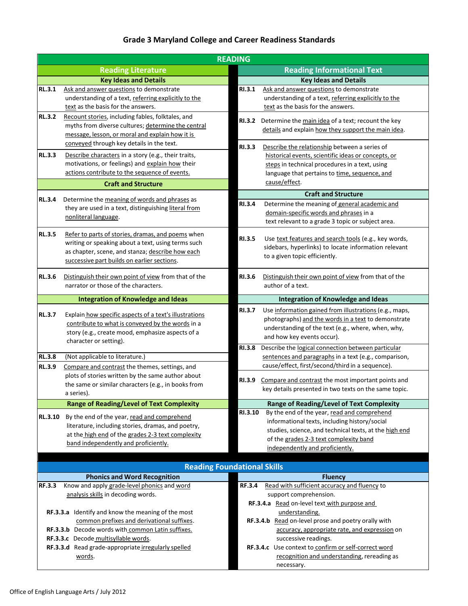## **Grade 3 Maryland College and Career Readiness Standards**

| <b>READING</b> |                                                        |               |                                                                                                               |  |
|----------------|--------------------------------------------------------|---------------|---------------------------------------------------------------------------------------------------------------|--|
|                | <b>Reading Literature</b>                              |               | <b>Reading Informational Text</b>                                                                             |  |
|                | <b>Key Ideas and Details</b>                           |               | <b>Key Ideas and Details</b>                                                                                  |  |
| <b>RL.3.1</b>  | Ask and answer questions to demonstrate                | <b>RI.3.1</b> | Ask and answer questions to demonstrate                                                                       |  |
|                | understanding of a text, referring explicitly to the   |               | understanding of a text, referring explicitly to the                                                          |  |
|                | text as the basis for the answers.                     |               | text as the basis for the answers.                                                                            |  |
| <b>RL.3.2</b>  | Recount stories, including fables, folktales, and      | <b>RI.3.2</b> | Determine the main idea of a text; recount the key                                                            |  |
|                | myths from diverse cultures; determine the central     |               | details and explain how they support the main idea.                                                           |  |
|                | message, lesson, or moral and explain how it is        |               |                                                                                                               |  |
|                | conveyed through key details in the text.              | <b>RI.3.3</b> | Describe the relationship between a series of                                                                 |  |
| <b>RL.3.3</b>  | Describe characters in a story (e.g., their traits,    |               | historical events, scientific ideas or concepts, or                                                           |  |
|                | motivations, or feelings) and explain how their        |               | steps in technical procedures in a text, using                                                                |  |
|                | actions contribute to the sequence of events.          |               | language that pertains to time, sequence, and                                                                 |  |
|                | <b>Craft and Structure</b>                             |               | cause/effect.                                                                                                 |  |
| <b>RL.3.4</b>  | Determine the meaning of words and phrases as          |               | <b>Craft and Structure</b>                                                                                    |  |
|                | they are used in a text, distinguishing literal from   | <b>RI.3.4</b> | Determine the meaning of general academic and                                                                 |  |
|                | nonliteral language.                                   |               | domain-specific words and phrases in a                                                                        |  |
|                |                                                        |               | text relevant to a grade 3 topic or subject area.                                                             |  |
| <b>RL.3.5</b>  | Refer to parts of stories, dramas, and poems when      | <b>RI.3.5</b> | Use text features and search tools (e.g., key words,                                                          |  |
|                | writing or speaking about a text, using terms such     |               | sidebars, hyperlinks) to locate information relevant                                                          |  |
|                | as chapter, scene, and stanza; describe how each       |               | to a given topic efficiently.                                                                                 |  |
|                | successive part builds on earlier sections.            |               |                                                                                                               |  |
| <b>RL.3.6</b>  | Distinguish their own point of view from that of the   | <b>RI.3.6</b> | Distinguish their own point of view from that of the                                                          |  |
|                | narrator or those of the characters.                   |               | author of a text.                                                                                             |  |
|                | <b>Integration of Knowledge and Ideas</b>              |               | <b>Integration of Knowledge and Ideas</b>                                                                     |  |
|                |                                                        | <b>RI.3.7</b> |                                                                                                               |  |
| <b>RL.3.7</b>  | Explain how specific aspects of a text's illustrations |               | Use information gained from illustrations (e.g., maps,<br>photographs) and the words in a text to demonstrate |  |
|                | contribute to what is conveyed by the words in a       |               | understanding of the text (e.g., where, when, why,                                                            |  |
|                | story (e.g., create mood, emphasize aspects of a       |               | and how key events occur).                                                                                    |  |
|                | character or setting).                                 | <b>RI.3.8</b> | Describe the logical connection between particular                                                            |  |
| <b>RL.3.8</b>  | (Not applicable to literature.)                        |               | sentences and paragraphs in a text (e.g., comparison,                                                         |  |
| <b>RL.3.9</b>  | Compare and contrast the themes, settings, and         |               | cause/effect, first/second/third in a sequence).                                                              |  |
|                | plots of stories written by the same author about      |               |                                                                                                               |  |
|                | the same or similar characters (e.g., in books from    | <b>RI.3.9</b> | Compare and contrast the most important points and                                                            |  |
|                | a series).                                             |               | key details presented in two texts on the same topic.                                                         |  |
|                | <b>Range of Reading/Level of Text Complexity</b>       |               | <b>Range of Reading/Level of Text Complexity</b>                                                              |  |
| <b>RL.3.10</b> | By the end of the year, read and comprehend            | RI.3.10       | By the end of the year, read and comprehend                                                                   |  |
|                | literature, including stories, dramas, and poetry,     |               | informational texts, including history/social                                                                 |  |
|                | at the high end of the grades 2-3 text complexity      |               | studies, science, and technical texts, at the high end                                                        |  |
|                | band independently and proficiently.                   |               | of the grades 2-3 text complexity band                                                                        |  |
|                |                                                        |               | independently and proficiently.                                                                               |  |
|                | <b>Reading Foundational Skills</b>                     |               |                                                                                                               |  |
|                | <b>Phonics and Word Recognition</b>                    |               | <b>Fluency</b>                                                                                                |  |
| <b>RF.3.3</b>  | Know and apply grade-level phonics and word            | <b>RF.3.4</b> | Read with sufficient accuracy and fluency to                                                                  |  |
|                | analysis skills in decoding words.                     |               | support comprehension.                                                                                        |  |
|                |                                                        |               | RF.3.4.a Read on-level text with purpose and                                                                  |  |
|                | RF.3.3.a Identify and know the meaning of the most     |               | understanding.                                                                                                |  |
|                | common prefixes and derivational suffixes.             |               | RF.3.4.b Read on-level prose and poetry orally with                                                           |  |
|                | RF.3.3.b Decode words with common Latin suffixes.      |               | accuracy, appropriate rate, and expression on                                                                 |  |
|                | RF.3.3.c Decode multisyllable words.                   |               | successive readings.                                                                                          |  |
|                | RF.3.3.d Read grade-appropriate irregularly spelled    |               | RF.3.4.c Use context to confirm or self-correct word                                                          |  |
|                | words.                                                 |               | recognition and understanding, rereading as                                                                   |  |
|                |                                                        |               | necessary.                                                                                                    |  |